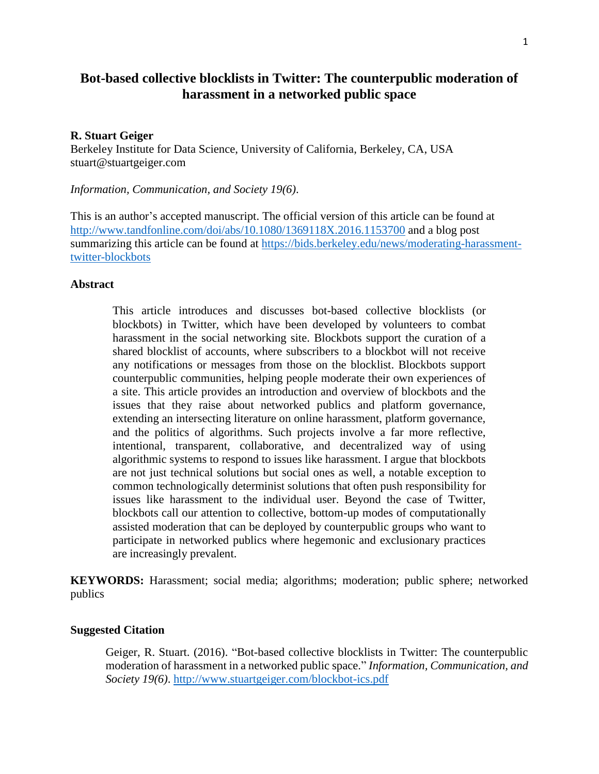# **Bot-based collective blocklists in Twitter: The counterpublic moderation of harassment in a networked public space**

# **R. Stuart Geiger**

Berkeley Institute for Data Science, University of California, Berkeley, CA, USA stuart@stuartgeiger.com

*Information, Communication, and Society 19(6)*.

This is an author's accepted manuscript. The official version of this article can be found at <http://www.tandfonline.com/doi/abs/10.1080/1369118X.2016.1153700> and a blog post summarizing this article can be found at [https://bids.berkeley.edu/news/moderating-harassment](https://bids.berkeley.edu/news/moderating-harassment-twitter-blockbots)[twitter-blockbots](https://bids.berkeley.edu/news/moderating-harassment-twitter-blockbots)

# **Abstract**

This article introduces and discusses bot-based collective blocklists (or blockbots) in Twitter, which have been developed by volunteers to combat harassment in the social networking site. Blockbots support the curation of a shared blocklist of accounts, where subscribers to a blockbot will not receive any notifications or messages from those on the blocklist. Blockbots support counterpublic communities, helping people moderate their own experiences of a site. This article provides an introduction and overview of blockbots and the issues that they raise about networked publics and platform governance, extending an intersecting literature on online harassment, platform governance, and the politics of algorithms. Such projects involve a far more reflective, intentional, transparent, collaborative, and decentralized way of using algorithmic systems to respond to issues like harassment. I argue that blockbots are not just technical solutions but social ones as well, a notable exception to common technologically determinist solutions that often push responsibility for issues like harassment to the individual user. Beyond the case of Twitter, blockbots call our attention to collective, bottom-up modes of computationally assisted moderation that can be deployed by counterpublic groups who want to participate in networked publics where hegemonic and exclusionary practices are increasingly prevalent.

**KEYWORDS:** Harassment; social media; algorithms; moderation; public sphere; networked publics

#### **Suggested Citation**

Geiger, R. Stuart. (2016). "Bot-based collective blocklists in Twitter: The counterpublic moderation of harassment in a networked public space." *Information, Communication, and Society 19(6)*.<http://www.stuartgeiger.com/blockbot-ics.pdf>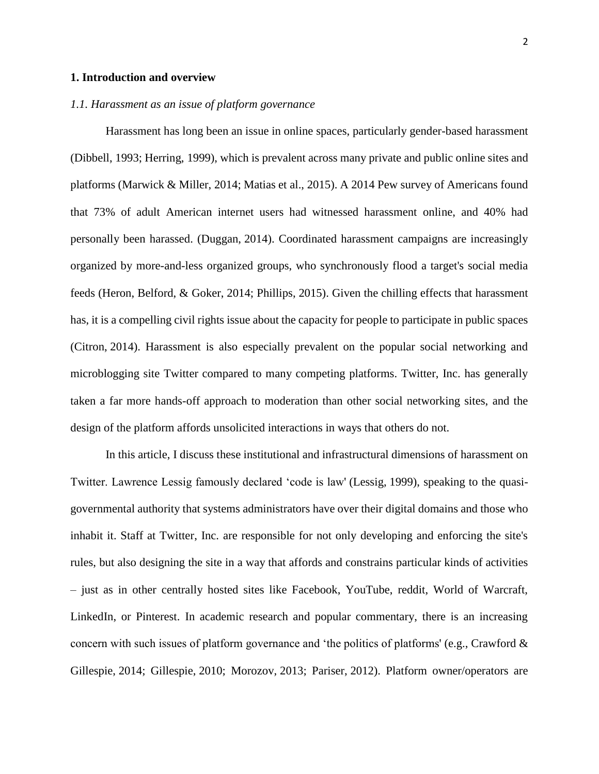### **1. Introduction and overview**

## *1.1. Harassment as an issue of platform governance*

Harassment has long been an issue in online spaces, particularly gender-based harassment (Dibbell, 1993; Herring, 1999), which is prevalent across many private and public online sites and platforms (Marwick & Miller, 2014; Matias et al., 2015). A 2014 Pew survey of Americans found that 73% of adult American internet users had witnessed harassment online, and 40% had personally been harassed. (Duggan, 2014). Coordinated harassment campaigns are increasingly organized by more-and-less organized groups, who synchronously flood a target's social media feeds (Heron, Belford, & Goker, 2014; Phillips, 2015). Given the chilling effects that harassment has, it is a compelling civil rights issue about the capacity for people to participate in public spaces (Citron, 2014). Harassment is also especially prevalent on the popular social networking and microblogging site Twitter compared to many competing platforms. Twitter, Inc. has generally taken a far more hands-off approach to moderation than other social networking sites, and the design of the platform affords unsolicited interactions in ways that others do not.

In this article, I discuss these institutional and infrastructural dimensions of harassment on Twitter. Lawrence Lessig famously declared 'code is law' (Lessig, 1999), speaking to the quasigovernmental authority that systems administrators have over their digital domains and those who inhabit it. Staff at Twitter, Inc. are responsible for not only developing and enforcing the site's rules, but also designing the site in a way that affords and constrains particular kinds of activities – just as in other centrally hosted sites like Facebook, YouTube, reddit, World of Warcraft, LinkedIn, or Pinterest. In academic research and popular commentary, there is an increasing concern with such issues of platform governance and 'the politics of platforms' (e.g., Crawford & Gillespie, 2014; Gillespie, 2010; Morozov, 2013; Pariser, 2012). Platform owner/operators are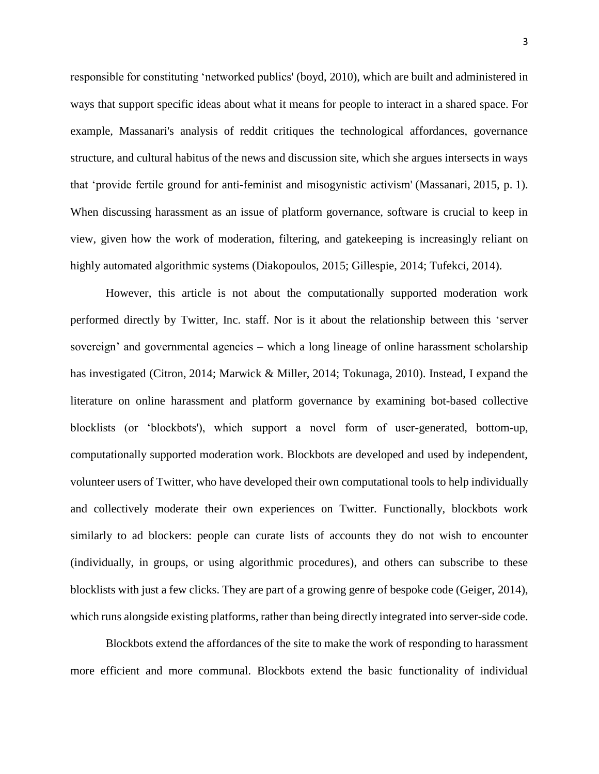responsible for constituting 'networked publics' (boyd, 2010), which are built and administered in ways that support specific ideas about what it means for people to interact in a shared space. For example, Massanari's analysis of reddit critiques the technological affordances, governance structure, and cultural habitus of the news and discussion site, which she argues intersects in ways that 'provide fertile ground for anti-feminist and misogynistic activism' (Massanari, 2015, p. 1). When discussing harassment as an issue of platform governance, software is crucial to keep in view, given how the work of moderation, filtering, and gatekeeping is increasingly reliant on highly automated algorithmic systems (Diakopoulos, 2015; Gillespie, 2014; Tufekci, 2014).

However, this article is not about the computationally supported moderation work performed directly by Twitter, Inc. staff. Nor is it about the relationship between this 'server sovereign' and governmental agencies – which a long lineage of online harassment scholarship has investigated (Citron, 2014; Marwick & Miller, 2014; Tokunaga, 2010). Instead, I expand the literature on online harassment and platform governance by examining bot-based collective blocklists (or 'blockbots'), which support a novel form of user-generated, bottom-up, computationally supported moderation work. Blockbots are developed and used by independent, volunteer users of Twitter, who have developed their own computational tools to help individually and collectively moderate their own experiences on Twitter. Functionally, blockbots work similarly to ad blockers: people can curate lists of accounts they do not wish to encounter (individually, in groups, or using algorithmic procedures), and others can subscribe to these blocklists with just a few clicks. They are part of a growing genre of bespoke code (Geiger, 2014), which runs alongside existing platforms, rather than being directly integrated into server-side code.

Blockbots extend the affordances of the site to make the work of responding to harassment more efficient and more communal. Blockbots extend the basic functionality of individual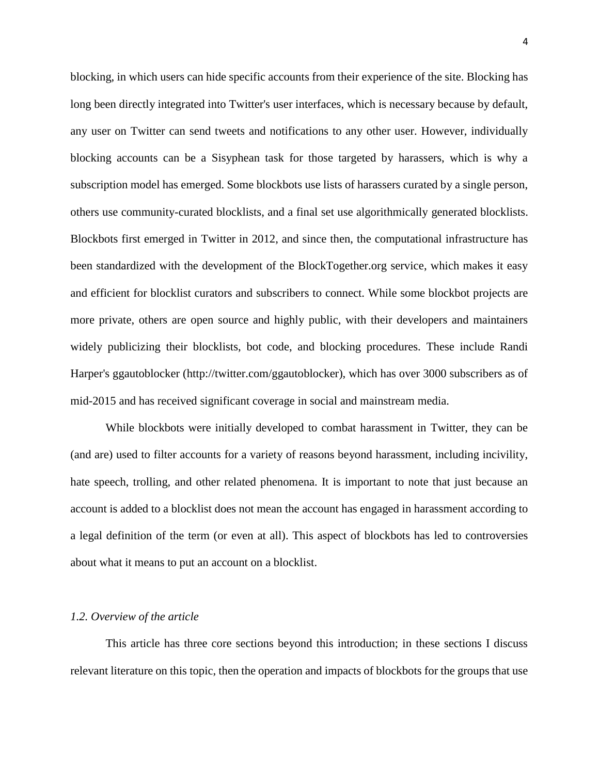blocking, in which users can hide specific accounts from their experience of the site. Blocking has long been directly integrated into Twitter's user interfaces, which is necessary because by default, any user on Twitter can send tweets and notifications to any other user. However, individually blocking accounts can be a Sisyphean task for those targeted by harassers, which is why a subscription model has emerged. Some blockbots use lists of harassers curated by a single person, others use community-curated blocklists, and a final set use algorithmically generated blocklists. Blockbots first emerged in Twitter in 2012, and since then, the computational infrastructure has been standardized with the development of the BlockTogether.org service, which makes it easy and efficient for blocklist curators and subscribers to connect. While some blockbot projects are more private, others are open source and highly public, with their developers and maintainers widely publicizing their blocklists, bot code, and blocking procedures. These include Randi Harper's ggautoblocker (http://twitter.com/ggautoblocker), which has over 3000 subscribers as of mid-2015 and has received significant coverage in social and mainstream media.

While blockbots were initially developed to combat harassment in Twitter, they can be (and are) used to filter accounts for a variety of reasons beyond harassment, including incivility, hate speech, trolling, and other related phenomena. It is important to note that just because an account is added to a blocklist does not mean the account has engaged in harassment according to a legal definition of the term (or even at all). This aspect of blockbots has led to controversies about what it means to put an account on a blocklist.

#### *1.2. Overview of the article*

This article has three core sections beyond this introduction; in these sections I discuss relevant literature on this topic, then the operation and impacts of blockbots for the groups that use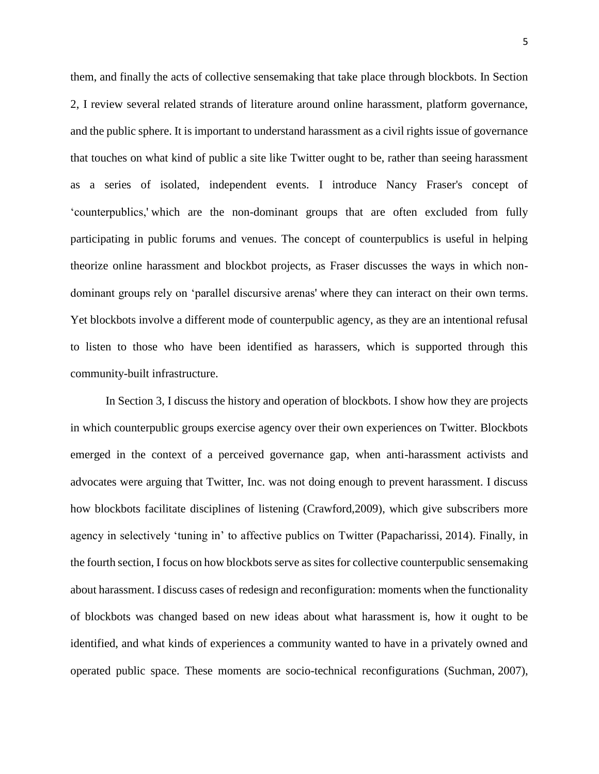them, and finally the acts of collective sensemaking that take place through blockbots. In Section 2, I review several related strands of literature around online harassment, platform governance, and the public sphere. It is important to understand harassment as a civil rights issue of governance that touches on what kind of public a site like Twitter ought to be, rather than seeing harassment as a series of isolated, independent events. I introduce Nancy Fraser's concept of 'counterpublics,' which are the non-dominant groups that are often excluded from fully participating in public forums and venues. The concept of counterpublics is useful in helping theorize online harassment and blockbot projects, as Fraser discusses the ways in which nondominant groups rely on 'parallel discursive arenas' where they can interact on their own terms. Yet blockbots involve a different mode of counterpublic agency, as they are an intentional refusal to listen to those who have been identified as harassers, which is supported through this community-built infrastructure.

In Section 3, I discuss the history and operation of blockbots. I show how they are projects in which counterpublic groups exercise agency over their own experiences on Twitter. Blockbots emerged in the context of a perceived governance gap, when anti-harassment activists and advocates were arguing that Twitter, Inc. was not doing enough to prevent harassment. I discuss how blockbots facilitate disciplines of listening (Crawford,2009), which give subscribers more agency in selectively 'tuning in' to affective publics on Twitter (Papacharissi, 2014). Finally, in the fourth section, I focus on how blockbots serve as sites for collective counterpublic sensemaking about harassment. I discuss cases of redesign and reconfiguration: moments when the functionality of blockbots was changed based on new ideas about what harassment is, how it ought to be identified, and what kinds of experiences a community wanted to have in a privately owned and operated public space. These moments are socio-technical reconfigurations (Suchman, 2007),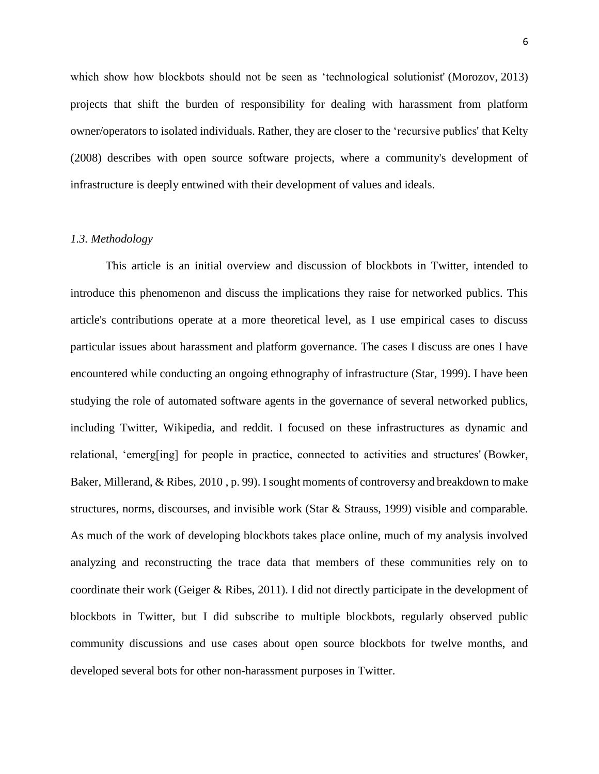which show how blockbots should not be seen as 'technological solutionist' (Morozov, 2013) projects that shift the burden of responsibility for dealing with harassment from platform owner/operators to isolated individuals. Rather, they are closer to the 'recursive publics' that Kelty (2008) describes with open source software projects, where a community's development of infrastructure is deeply entwined with their development of values and ideals.

#### *1.3. Methodology*

This article is an initial overview and discussion of blockbots in Twitter, intended to introduce this phenomenon and discuss the implications they raise for networked publics. This article's contributions operate at a more theoretical level, as I use empirical cases to discuss particular issues about harassment and platform governance. The cases I discuss are ones I have encountered while conducting an ongoing ethnography of infrastructure (Star, 1999). I have been studying the role of automated software agents in the governance of several networked publics, including Twitter, Wikipedia, and reddit. I focused on these infrastructures as dynamic and relational, 'emerg[ing] for people in practice, connected to activities and structures' (Bowker, Baker, Millerand, & Ribes, 2010 , p. 99). I sought moments of controversy and breakdown to make structures, norms, discourses, and invisible work (Star & Strauss, 1999) visible and comparable. As much of the work of developing blockbots takes place online, much of my analysis involved analyzing and reconstructing the trace data that members of these communities rely on to coordinate their work (Geiger & Ribes, 2011). I did not directly participate in the development of blockbots in Twitter, but I did subscribe to multiple blockbots, regularly observed public community discussions and use cases about open source blockbots for twelve months, and developed several bots for other non-harassment purposes in Twitter.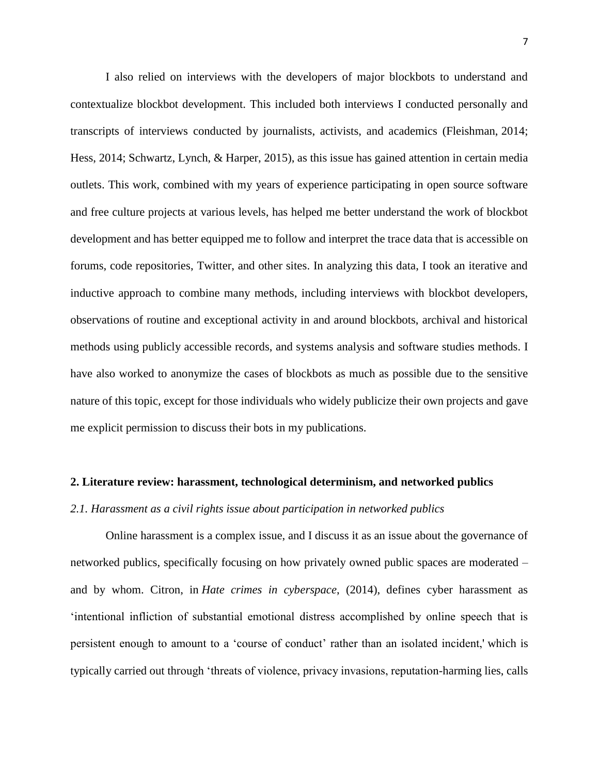I also relied on interviews with the developers of major blockbots to understand and contextualize blockbot development. This included both interviews I conducted personally and transcripts of interviews conducted by journalists, activists, and academics (Fleishman, 2014; Hess, 2014; Schwartz, Lynch, & Harper, 2015), as this issue has gained attention in certain media outlets. This work, combined with my years of experience participating in open source software and free culture projects at various levels, has helped me better understand the work of blockbot development and has better equipped me to follow and interpret the trace data that is accessible on forums, code repositories, Twitter, and other sites. In analyzing this data, I took an iterative and inductive approach to combine many methods, including interviews with blockbot developers, observations of routine and exceptional activity in and around blockbots, archival and historical methods using publicly accessible records, and systems analysis and software studies methods. I have also worked to anonymize the cases of blockbots as much as possible due to the sensitive nature of this topic, except for those individuals who widely publicize their own projects and gave me explicit permission to discuss their bots in my publications.

## **2. Literature review: harassment, technological determinism, and networked publics**

#### *2.1. Harassment as a civil rights issue about participation in networked publics*

Online harassment is a complex issue, and I discuss it as an issue about the governance of networked publics, specifically focusing on how privately owned public spaces are moderated – and by whom. Citron, in *Hate crimes in cyberspace*, (2014), defines cyber harassment as 'intentional infliction of substantial emotional distress accomplished by online speech that is persistent enough to amount to a 'course of conduct' rather than an isolated incident,' which is typically carried out through 'threats of violence, privacy invasions, reputation-harming lies, calls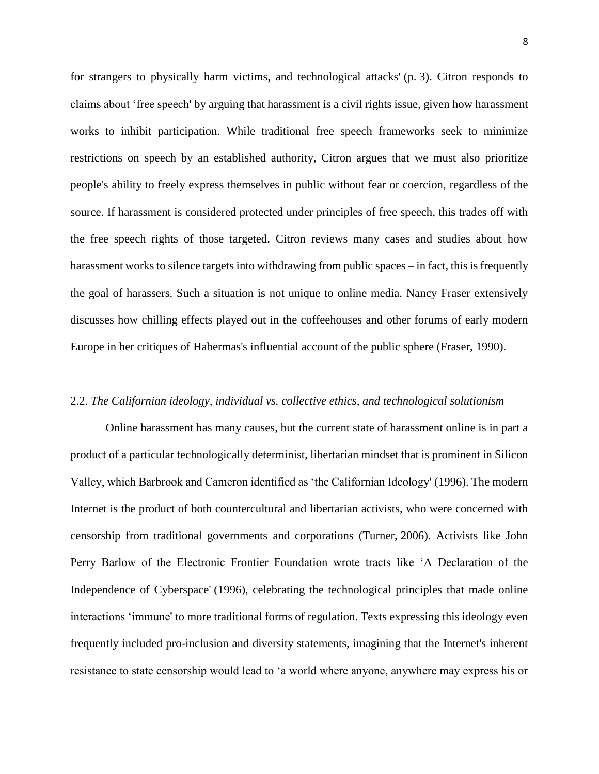for strangers to physically harm victims, and technological attacks' (p. 3). Citron responds to claims about 'free speech' by arguing that harassment is a civil rights issue, given how harassment works to inhibit participation. While traditional free speech frameworks seek to minimize restrictions on speech by an established authority, Citron argues that we must also prioritize people's ability to freely express themselves in public without fear or coercion, regardless of the source. If harassment is considered protected under principles of free speech, this trades off with the free speech rights of those targeted. Citron reviews many cases and studies about how harassment works to silence targets into withdrawing from public spaces – in fact, this is frequently the goal of harassers. Such a situation is not unique to online media. Nancy Fraser extensively discusses how chilling effects played out in the coffeehouses and other forums of early modern Europe in her critiques of Habermas's influential account of the public sphere (Fraser, 1990).

#### 2.2. *The Californian ideology, individual vs. collective ethics, and technological solutionism*

Online harassment has many causes, but the current state of harassment online is in part a product of a particular technologically determinist, libertarian mindset that is prominent in Silicon Valley, which Barbrook and Cameron identified as 'the Californian Ideology' (1996). The modern Internet is the product of both countercultural and libertarian activists, who were concerned with censorship from traditional governments and corporations (Turner, 2006). Activists like John Perry Barlow of the Electronic Frontier Foundation wrote tracts like 'A Declaration of the Independence of Cyberspace' (1996), celebrating the technological principles that made online interactions 'immune' to more traditional forms of regulation. Texts expressing this ideology even frequently included pro-inclusion and diversity statements, imagining that the Internet's inherent resistance to state censorship would lead to 'a world where anyone, anywhere may express his or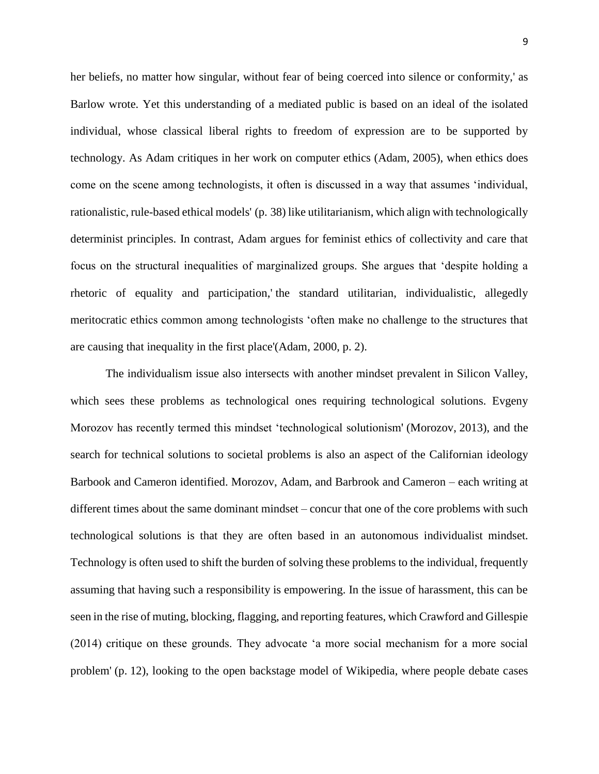her beliefs, no matter how singular, without fear of being coerced into silence or conformity,' as Barlow wrote. Yet this understanding of a mediated public is based on an ideal of the isolated individual, whose classical liberal rights to freedom of expression are to be supported by technology. As Adam critiques in her work on computer ethics (Adam, 2005), when ethics does come on the scene among technologists, it often is discussed in a way that assumes 'individual, rationalistic, rule-based ethical models' (p. 38) like utilitarianism, which align with technologically determinist principles. In contrast, Adam argues for feminist ethics of collectivity and care that focus on the structural inequalities of marginalized groups. She argues that 'despite holding a rhetoric of equality and participation,' the standard utilitarian, individualistic, allegedly meritocratic ethics common among technologists 'often make no challenge to the structures that are causing that inequality in the first place'(Adam, 2000, p. 2).

The individualism issue also intersects with another mindset prevalent in Silicon Valley, which sees these problems as technological ones requiring technological solutions. Evgeny Morozov has recently termed this mindset 'technological solutionism' (Morozov, 2013), and the search for technical solutions to societal problems is also an aspect of the Californian ideology Barbook and Cameron identified. Morozov, Adam, and Barbrook and Cameron – each writing at different times about the same dominant mindset – concur that one of the core problems with such technological solutions is that they are often based in an autonomous individualist mindset. Technology is often used to shift the burden of solving these problems to the individual, frequently assuming that having such a responsibility is empowering. In the issue of harassment, this can be seen in the rise of muting, blocking, flagging, and reporting features, which Crawford and Gillespie (2014) critique on these grounds. They advocate 'a more social mechanism for a more social problem' (p. 12), looking to the open backstage model of Wikipedia, where people debate cases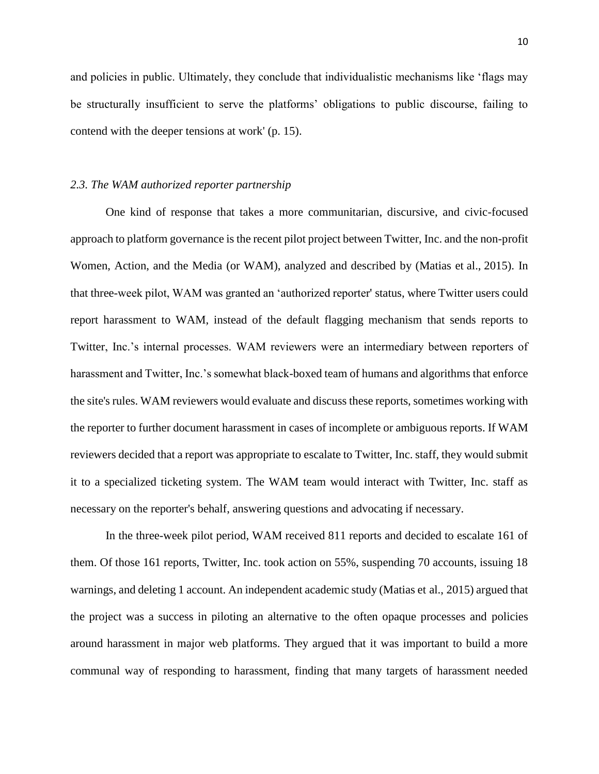and policies in public. Ultimately, they conclude that individualistic mechanisms like 'flags may be structurally insufficient to serve the platforms' obligations to public discourse, failing to contend with the deeper tensions at work' (p. 15).

## *2.3. The WAM authorized reporter partnership*

One kind of response that takes a more communitarian, discursive, and civic-focused approach to platform governance is the recent pilot project between Twitter, Inc. and the non-profit Women, Action, and the Media (or WAM), analyzed and described by (Matias et al., 2015). In that three-week pilot, WAM was granted an 'authorized reporter' status, where Twitter users could report harassment to WAM, instead of the default flagging mechanism that sends reports to Twitter, Inc.'s internal processes. WAM reviewers were an intermediary between reporters of harassment and Twitter, Inc.'s somewhat black-boxed team of humans and algorithms that enforce the site's rules. WAM reviewers would evaluate and discuss these reports, sometimes working with the reporter to further document harassment in cases of incomplete or ambiguous reports. If WAM reviewers decided that a report was appropriate to escalate to Twitter, Inc. staff, they would submit it to a specialized ticketing system. The WAM team would interact with Twitter, Inc. staff as necessary on the reporter's behalf, answering questions and advocating if necessary.

In the three-week pilot period, WAM received 811 reports and decided to escalate 161 of them. Of those 161 reports, Twitter, Inc. took action on 55%, suspending 70 accounts, issuing 18 warnings, and deleting 1 account. An independent academic study (Matias et al., 2015) argued that the project was a success in piloting an alternative to the often opaque processes and policies around harassment in major web platforms. They argued that it was important to build a more communal way of responding to harassment, finding that many targets of harassment needed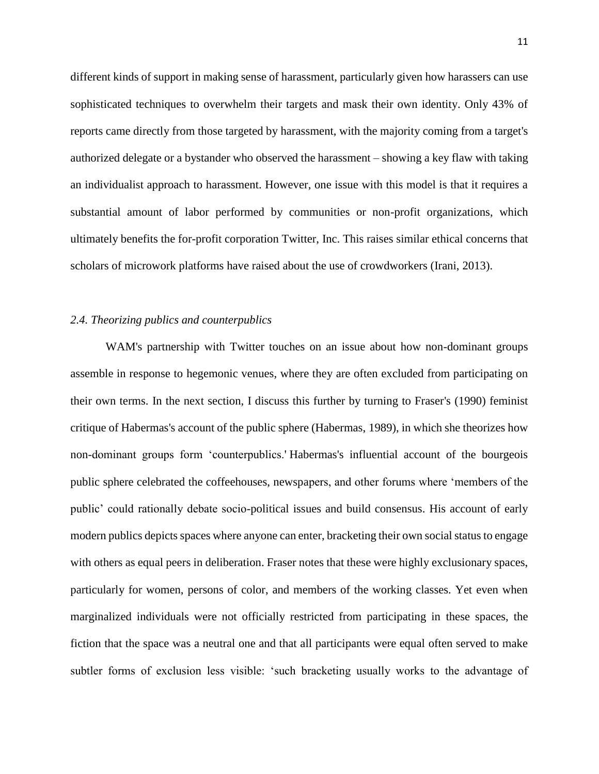different kinds of support in making sense of harassment, particularly given how harassers can use sophisticated techniques to overwhelm their targets and mask their own identity. Only 43% of reports came directly from those targeted by harassment, with the majority coming from a target's authorized delegate or a bystander who observed the harassment – showing a key flaw with taking an individualist approach to harassment. However, one issue with this model is that it requires a substantial amount of labor performed by communities or non-profit organizations, which ultimately benefits the for-profit corporation Twitter, Inc. This raises similar ethical concerns that scholars of microwork platforms have raised about the use of crowdworkers (Irani, 2013).

# *2.4. Theorizing publics and counterpublics*

WAM's partnership with Twitter touches on an issue about how non-dominant groups assemble in response to hegemonic venues, where they are often excluded from participating on their own terms. In the next section, I discuss this further by turning to Fraser's (1990) feminist critique of Habermas's account of the public sphere (Habermas, 1989), in which she theorizes how non-dominant groups form 'counterpublics.' Habermas's influential account of the bourgeois public sphere celebrated the coffeehouses, newspapers, and other forums where 'members of the public' could rationally debate socio-political issues and build consensus. His account of early modern publics depicts spaces where anyone can enter, bracketing their own social status to engage with others as equal peers in deliberation. Fraser notes that these were highly exclusionary spaces, particularly for women, persons of color, and members of the working classes. Yet even when marginalized individuals were not officially restricted from participating in these spaces, the fiction that the space was a neutral one and that all participants were equal often served to make subtler forms of exclusion less visible: 'such bracketing usually works to the advantage of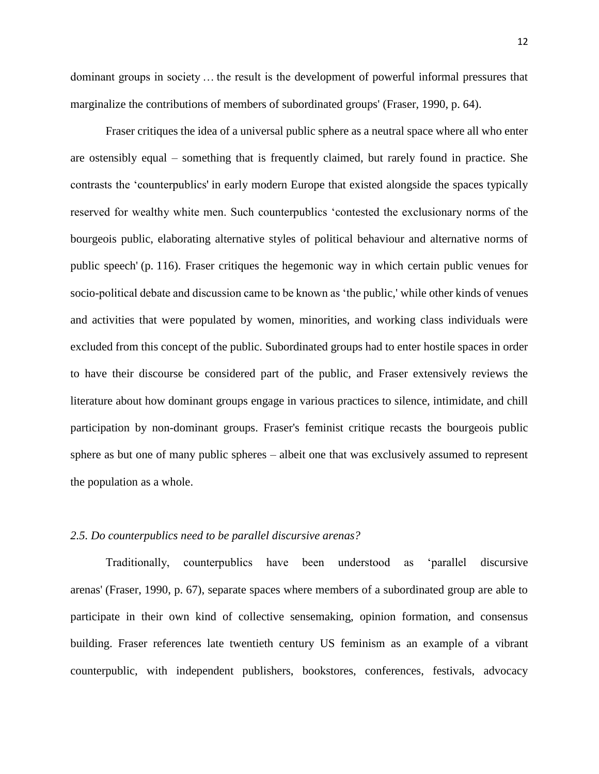dominant groups in society … the result is the development of powerful informal pressures that marginalize the contributions of members of subordinated groups' (Fraser, 1990, p. 64).

Fraser critiques the idea of a universal public sphere as a neutral space where all who enter are ostensibly equal – something that is frequently claimed, but rarely found in practice. She contrasts the 'counterpublics' in early modern Europe that existed alongside the spaces typically reserved for wealthy white men. Such counterpublics 'contested the exclusionary norms of the bourgeois public, elaborating alternative styles of political behaviour and alternative norms of public speech' (p. 116). Fraser critiques the hegemonic way in which certain public venues for socio-political debate and discussion came to be known as 'the public,' while other kinds of venues and activities that were populated by women, minorities, and working class individuals were excluded from this concept of the public. Subordinated groups had to enter hostile spaces in order to have their discourse be considered part of the public, and Fraser extensively reviews the literature about how dominant groups engage in various practices to silence, intimidate, and chill participation by non-dominant groups. Fraser's feminist critique recasts the bourgeois public sphere as but one of many public spheres – albeit one that was exclusively assumed to represent the population as a whole.

### *2.5. Do counterpublics need to be parallel discursive arenas?*

Traditionally, counterpublics have been understood as 'parallel discursive arenas' (Fraser, 1990, p. 67), separate spaces where members of a subordinated group are able to participate in their own kind of collective sensemaking, opinion formation, and consensus building. Fraser references late twentieth century US feminism as an example of a vibrant counterpublic, with independent publishers, bookstores, conferences, festivals, advocacy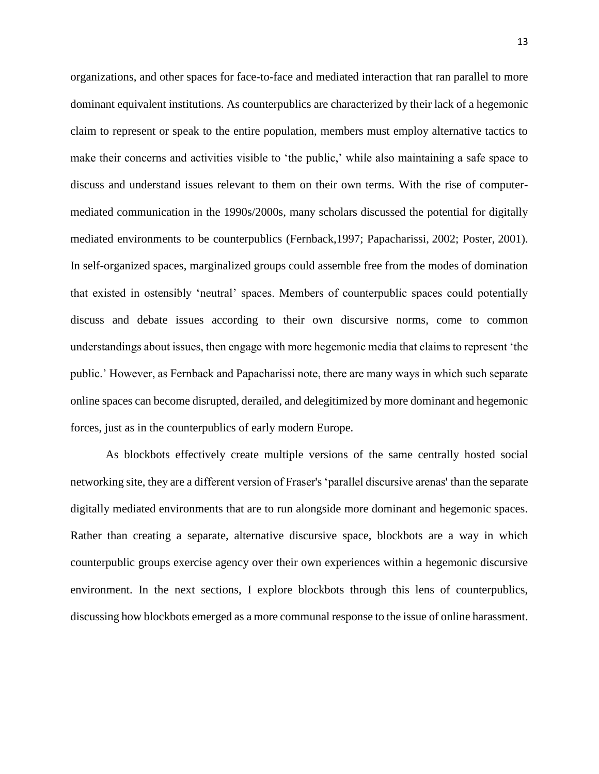organizations, and other spaces for face-to-face and mediated interaction that ran parallel to more dominant equivalent institutions. As counterpublics are characterized by their lack of a hegemonic claim to represent or speak to the entire population, members must employ alternative tactics to make their concerns and activities visible to 'the public,' while also maintaining a safe space to discuss and understand issues relevant to them on their own terms. With the rise of computermediated communication in the 1990s/2000s, many scholars discussed the potential for digitally mediated environments to be counterpublics (Fernback,1997; Papacharissi, 2002; Poster, 2001). In self-organized spaces, marginalized groups could assemble free from the modes of domination that existed in ostensibly 'neutral' spaces. Members of counterpublic spaces could potentially discuss and debate issues according to their own discursive norms, come to common understandings about issues, then engage with more hegemonic media that claims to represent 'the public.' However, as Fernback and Papacharissi note, there are many ways in which such separate online spaces can become disrupted, derailed, and delegitimized by more dominant and hegemonic forces, just as in the counterpublics of early modern Europe.

As blockbots effectively create multiple versions of the same centrally hosted social networking site, they are a different version of Fraser's 'parallel discursive arenas' than the separate digitally mediated environments that are to run alongside more dominant and hegemonic spaces. Rather than creating a separate, alternative discursive space, blockbots are a way in which counterpublic groups exercise agency over their own experiences within a hegemonic discursive environment. In the next sections, I explore blockbots through this lens of counterpublics, discussing how blockbots emerged as a more communal response to the issue of online harassment.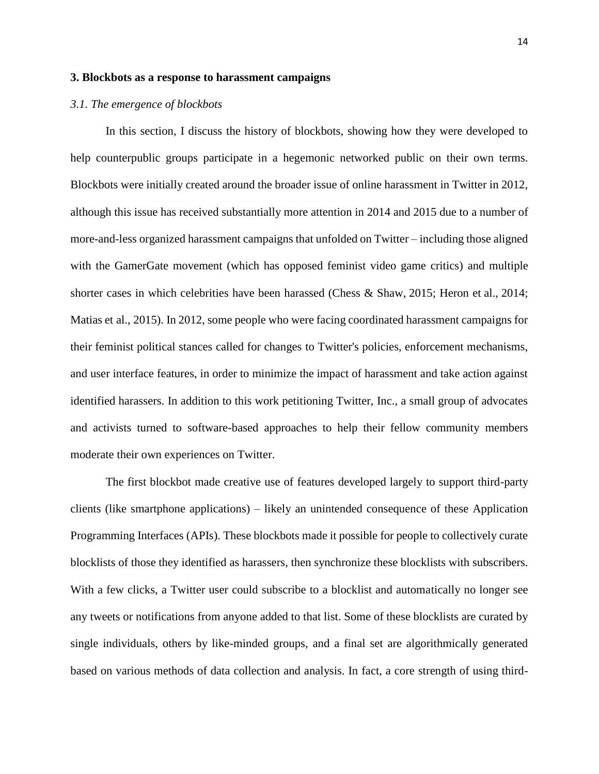# **3. Blockbots as a response to harassment campaigns**

## *3.1. The emergence of blockbots*

In this section, I discuss the history of blockbots, showing how they were developed to help counterpublic groups participate in a hegemonic networked public on their own terms. Blockbots were initially created around the broader issue of online harassment in Twitter in 2012, although this issue has received substantially more attention in 2014 and 2015 due to a number of more-and-less organized harassment campaigns that unfolded on Twitter – including those aligned with the GamerGate movement (which has opposed feminist video game critics) and multiple shorter cases in which celebrities have been harassed (Chess & Shaw, 2015; Heron et al., 2014; Matias et al., 2015). In 2012, some people who were facing coordinated harassment campaigns for their feminist political stances called for changes to Twitter's policies, enforcement mechanisms, and user interface features, in order to minimize the impact of harassment and take action against identified harassers. In addition to this work petitioning Twitter, Inc., a small group of advocates and activists turned to software-based approaches to help their fellow community members moderate their own experiences on Twitter.

The first blockbot made creative use of features developed largely to support third-party clients (like smartphone applications) – likely an unintended consequence of these Application Programming Interfaces (APIs). These blockbots made it possible for people to collectively curate blocklists of those they identified as harassers, then synchronize these blocklists with subscribers. With a few clicks, a Twitter user could subscribe to a blocklist and automatically no longer see any tweets or notifications from anyone added to that list. Some of these blocklists are curated by single individuals, others by like-minded groups, and a final set are algorithmically generated based on various methods of data collection and analysis. In fact, a core strength of using third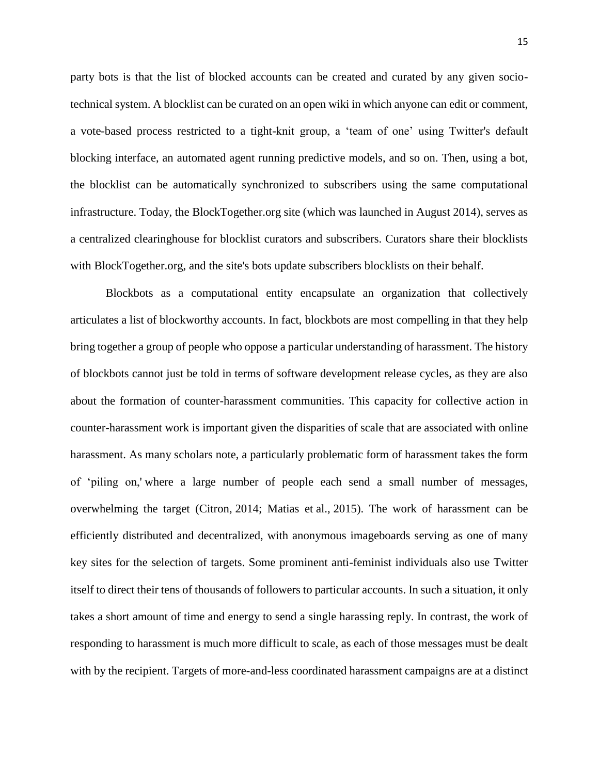party bots is that the list of blocked accounts can be created and curated by any given sociotechnical system. A blocklist can be curated on an open wiki in which anyone can edit or comment, a vote-based process restricted to a tight-knit group, a 'team of one' using Twitter's default blocking interface, an automated agent running predictive models, and so on. Then, using a bot, the blocklist can be automatically synchronized to subscribers using the same computational infrastructure. Today, the BlockTogether.org site (which was launched in August 2014), serves as a centralized clearinghouse for blocklist curators and subscribers. Curators share their blocklists with BlockTogether.org, and the site's bots update subscribers blocklists on their behalf.

Blockbots as a computational entity encapsulate an organization that collectively articulates a list of blockworthy accounts. In fact, blockbots are most compelling in that they help bring together a group of people who oppose a particular understanding of harassment. The history of blockbots cannot just be told in terms of software development release cycles, as they are also about the formation of counter-harassment communities. This capacity for collective action in counter-harassment work is important given the disparities of scale that are associated with online harassment. As many scholars note, a particularly problematic form of harassment takes the form of 'piling on,' where a large number of people each send a small number of messages, overwhelming the target (Citron, 2014; Matias et al., 2015). The work of harassment can be efficiently distributed and decentralized, with anonymous imageboards serving as one of many key sites for the selection of targets. Some prominent anti-feminist individuals also use Twitter itself to direct their tens of thousands of followers to particular accounts. In such a situation, it only takes a short amount of time and energy to send a single harassing reply. In contrast, the work of responding to harassment is much more difficult to scale, as each of those messages must be dealt with by the recipient. Targets of more-and-less coordinated harassment campaigns are at a distinct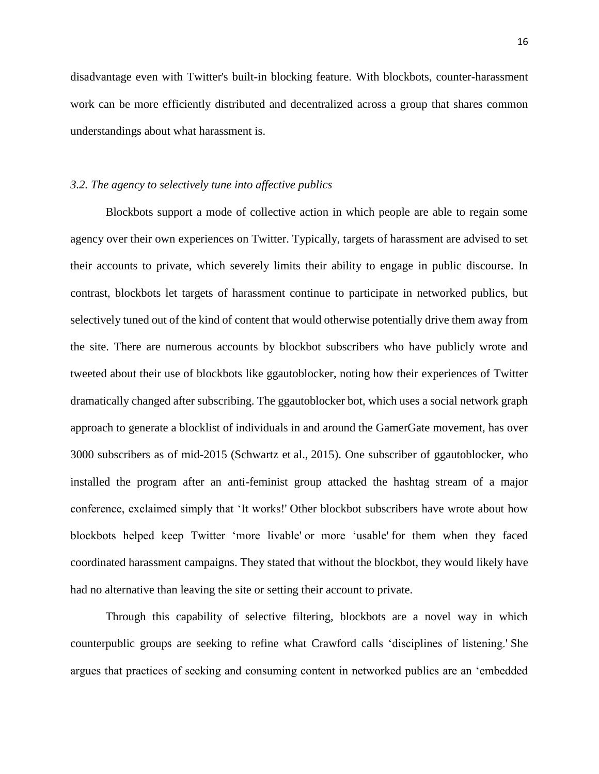disadvantage even with Twitter's built-in blocking feature. With blockbots, counter-harassment work can be more efficiently distributed and decentralized across a group that shares common understandings about what harassment is.

# *3.2. The agency to selectively tune into affective publics*

Blockbots support a mode of collective action in which people are able to regain some agency over their own experiences on Twitter. Typically, targets of harassment are advised to set their accounts to private, which severely limits their ability to engage in public discourse. In contrast, blockbots let targets of harassment continue to participate in networked publics, but selectively tuned out of the kind of content that would otherwise potentially drive them away from the site. There are numerous accounts by blockbot subscribers who have publicly wrote and tweeted about their use of blockbots like ggautoblocker, noting how their experiences of Twitter dramatically changed after subscribing. The ggautoblocker bot, which uses a social network graph approach to generate a blocklist of individuals in and around the GamerGate movement, has over 3000 subscribers as of mid-2015 (Schwartz et al., 2015). One subscriber of ggautoblocker, who installed the program after an anti-feminist group attacked the hashtag stream of a major conference, exclaimed simply that 'It works!' Other blockbot subscribers have wrote about how blockbots helped keep Twitter 'more livable' or more 'usable' for them when they faced coordinated harassment campaigns. They stated that without the blockbot, they would likely have had no alternative than leaving the site or setting their account to private.

Through this capability of selective filtering, blockbots are a novel way in which counterpublic groups are seeking to refine what Crawford calls 'disciplines of listening.' She argues that practices of seeking and consuming content in networked publics are an 'embedded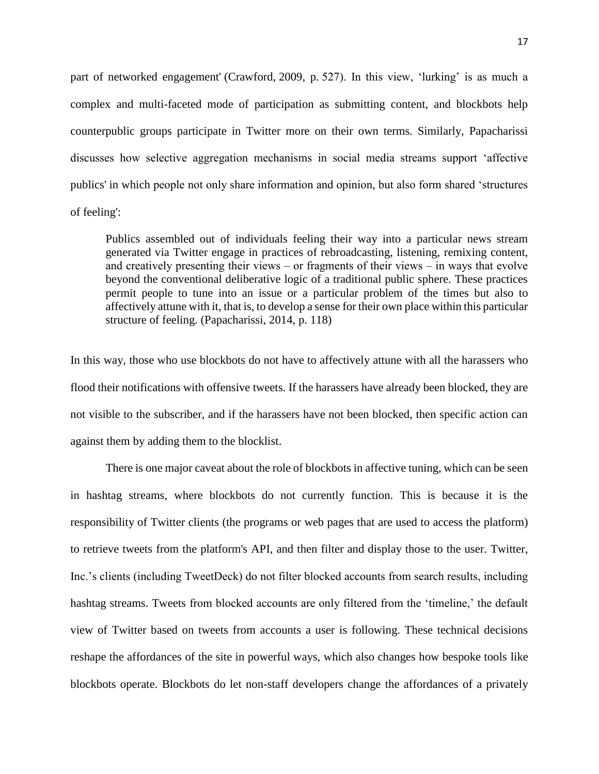part of networked engagement' (Crawford, 2009, p. 527). In this view, 'lurking' is as much a complex and multi-faceted mode of participation as submitting content, and blockbots help counterpublic groups participate in Twitter more on their own terms. Similarly, Papacharissi discusses how selective aggregation mechanisms in social media streams support 'affective publics' in which people not only share information and opinion, but also form shared 'structures of feeling':

Publics assembled out of individuals feeling their way into a particular news stream generated via Twitter engage in practices of rebroadcasting, listening, remixing content, and creatively presenting their views  $-$  or fragments of their views  $-$  in ways that evolve beyond the conventional deliberative logic of a traditional public sphere. These practices permit people to tune into an issue or a particular problem of the times but also to affectively attune with it, that is, to develop a sense for their own place within this particular structure of feeling. (Papacharissi, 2014, p. 118)

In this way, those who use blockbots do not have to affectively attune with all the harassers who flood their notifications with offensive tweets. If the harassers have already been blocked, they are not visible to the subscriber, and if the harassers have not been blocked, then specific action can against them by adding them to the blocklist.

There is one major caveat about the role of blockbots in affective tuning, which can be seen in hashtag streams, where blockbots do not currently function. This is because it is the responsibility of Twitter clients (the programs or web pages that are used to access the platform) to retrieve tweets from the platform's API, and then filter and display those to the user. Twitter, Inc.'s clients (including TweetDeck) do not filter blocked accounts from search results, including hashtag streams. Tweets from blocked accounts are only filtered from the 'timeline,' the default view of Twitter based on tweets from accounts a user is following. These technical decisions reshape the affordances of the site in powerful ways, which also changes how bespoke tools like blockbots operate. Blockbots do let non-staff developers change the affordances of a privately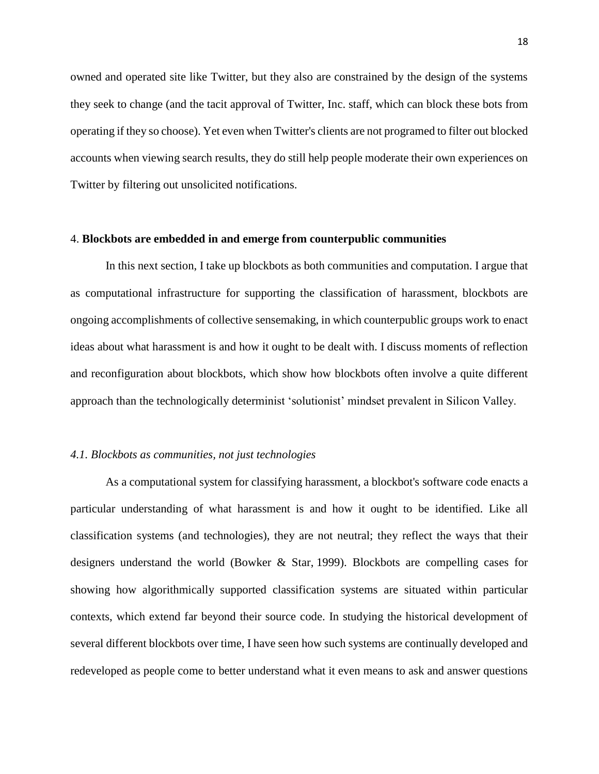owned and operated site like Twitter, but they also are constrained by the design of the systems they seek to change (and the tacit approval of Twitter, Inc. staff, which can block these bots from operating if they so choose). Yet even when Twitter's clients are not programed to filter out blocked accounts when viewing search results, they do still help people moderate their own experiences on Twitter by filtering out unsolicited notifications.

#### 4. **Blockbots are embedded in and emerge from counterpublic communities**

In this next section, I take up blockbots as both communities and computation. I argue that as computational infrastructure for supporting the classification of harassment, blockbots are ongoing accomplishments of collective sensemaking, in which counterpublic groups work to enact ideas about what harassment is and how it ought to be dealt with. I discuss moments of reflection and reconfiguration about blockbots, which show how blockbots often involve a quite different approach than the technologically determinist 'solutionist' mindset prevalent in Silicon Valley.

#### *4.1. Blockbots as communities, not just technologies*

As a computational system for classifying harassment, a blockbot's software code enacts a particular understanding of what harassment is and how it ought to be identified. Like all classification systems (and technologies), they are not neutral; they reflect the ways that their designers understand the world (Bowker & Star, 1999). Blockbots are compelling cases for showing how algorithmically supported classification systems are situated within particular contexts, which extend far beyond their source code. In studying the historical development of several different blockbots over time, I have seen how such systems are continually developed and redeveloped as people come to better understand what it even means to ask and answer questions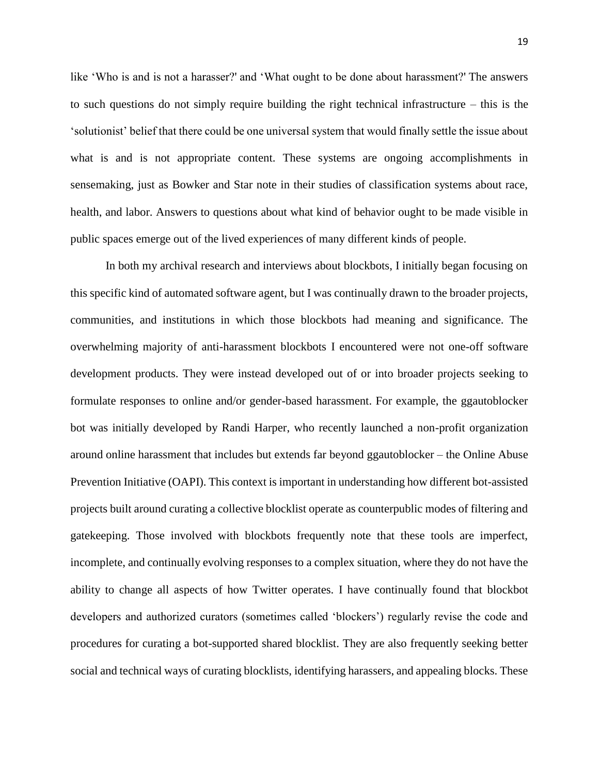like 'Who is and is not a harasser?' and 'What ought to be done about harassment?' The answers to such questions do not simply require building the right technical infrastructure – this is the 'solutionist' belief that there could be one universal system that would finally settle the issue about what is and is not appropriate content. These systems are ongoing accomplishments in sensemaking, just as Bowker and Star note in their studies of classification systems about race, health, and labor. Answers to questions about what kind of behavior ought to be made visible in public spaces emerge out of the lived experiences of many different kinds of people.

In both my archival research and interviews about blockbots, I initially began focusing on this specific kind of automated software agent, but I was continually drawn to the broader projects, communities, and institutions in which those blockbots had meaning and significance. The overwhelming majority of anti-harassment blockbots I encountered were not one-off software development products. They were instead developed out of or into broader projects seeking to formulate responses to online and/or gender-based harassment. For example, the ggautoblocker bot was initially developed by Randi Harper, who recently launched a non-profit organization around online harassment that includes but extends far beyond ggautoblocker – the Online Abuse Prevention Initiative (OAPI). This context is important in understanding how different bot-assisted projects built around curating a collective blocklist operate as counterpublic modes of filtering and gatekeeping. Those involved with blockbots frequently note that these tools are imperfect, incomplete, and continually evolving responses to a complex situation, where they do not have the ability to change all aspects of how Twitter operates. I have continually found that blockbot developers and authorized curators (sometimes called 'blockers') regularly revise the code and procedures for curating a bot-supported shared blocklist. They are also frequently seeking better social and technical ways of curating blocklists, identifying harassers, and appealing blocks. These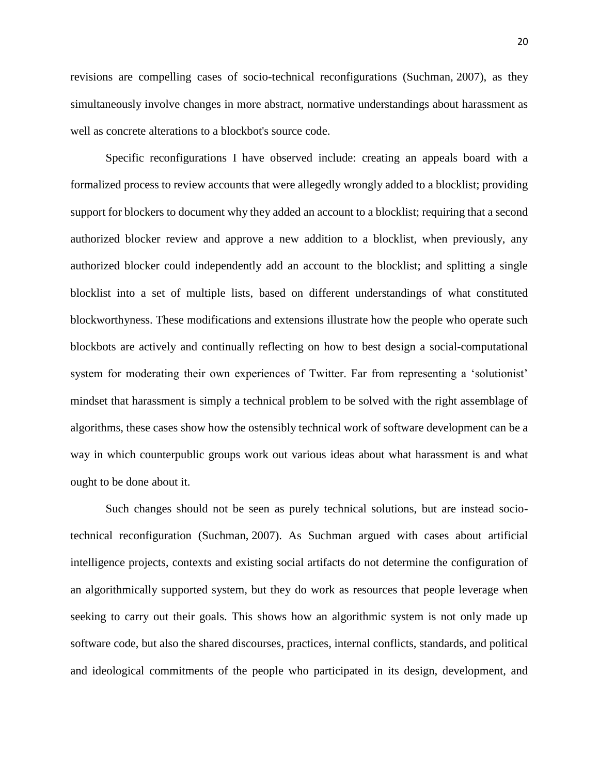revisions are compelling cases of socio-technical reconfigurations (Suchman, 2007), as they simultaneously involve changes in more abstract, normative understandings about harassment as well as concrete alterations to a blockbot's source code.

Specific reconfigurations I have observed include: creating an appeals board with a formalized process to review accounts that were allegedly wrongly added to a blocklist; providing support for blockers to document why they added an account to a blocklist; requiring that a second authorized blocker review and approve a new addition to a blocklist, when previously, any authorized blocker could independently add an account to the blocklist; and splitting a single blocklist into a set of multiple lists, based on different understandings of what constituted blockworthyness. These modifications and extensions illustrate how the people who operate such blockbots are actively and continually reflecting on how to best design a social-computational system for moderating their own experiences of Twitter. Far from representing a 'solutionist' mindset that harassment is simply a technical problem to be solved with the right assemblage of algorithms, these cases show how the ostensibly technical work of software development can be a way in which counterpublic groups work out various ideas about what harassment is and what ought to be done about it.

Such changes should not be seen as purely technical solutions, but are instead sociotechnical reconfiguration (Suchman, 2007). As Suchman argued with cases about artificial intelligence projects, contexts and existing social artifacts do not determine the configuration of an algorithmically supported system, but they do work as resources that people leverage when seeking to carry out their goals. This shows how an algorithmic system is not only made up software code, but also the shared discourses, practices, internal conflicts, standards, and political and ideological commitments of the people who participated in its design, development, and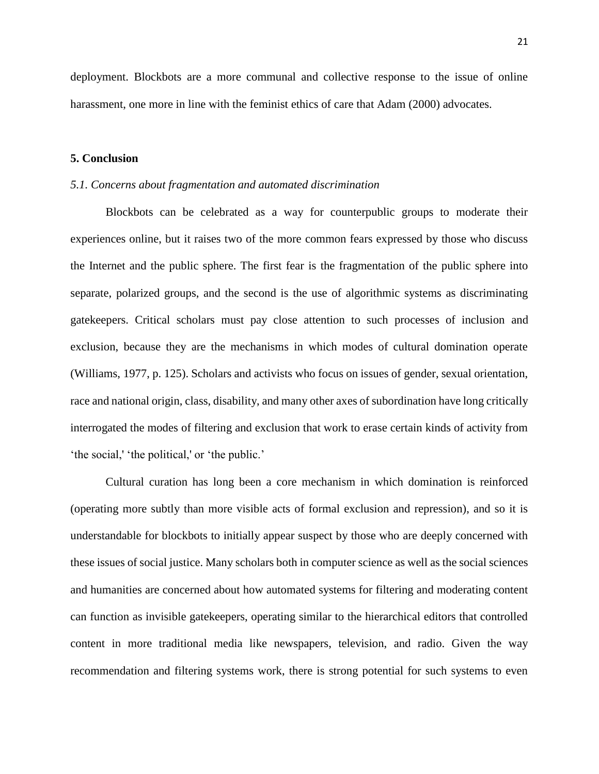deployment. Blockbots are a more communal and collective response to the issue of online harassment, one more in line with the feminist ethics of care that Adam (2000) advocates.

## **5. Conclusion**

#### *5.1. Concerns about fragmentation and automated discrimination*

Blockbots can be celebrated as a way for counterpublic groups to moderate their experiences online, but it raises two of the more common fears expressed by those who discuss the Internet and the public sphere. The first fear is the fragmentation of the public sphere into separate, polarized groups, and the second is the use of algorithmic systems as discriminating gatekeepers. Critical scholars must pay close attention to such processes of inclusion and exclusion, because they are the mechanisms in which modes of cultural domination operate (Williams, 1977, p. 125). Scholars and activists who focus on issues of gender, sexual orientation, race and national origin, class, disability, and many other axes of subordination have long critically interrogated the modes of filtering and exclusion that work to erase certain kinds of activity from 'the social,' 'the political,' or 'the public.'

Cultural curation has long been a core mechanism in which domination is reinforced (operating more subtly than more visible acts of formal exclusion and repression), and so it is understandable for blockbots to initially appear suspect by those who are deeply concerned with these issues of social justice. Many scholars both in computer science as well as the social sciences and humanities are concerned about how automated systems for filtering and moderating content can function as invisible gatekeepers, operating similar to the hierarchical editors that controlled content in more traditional media like newspapers, television, and radio. Given the way recommendation and filtering systems work, there is strong potential for such systems to even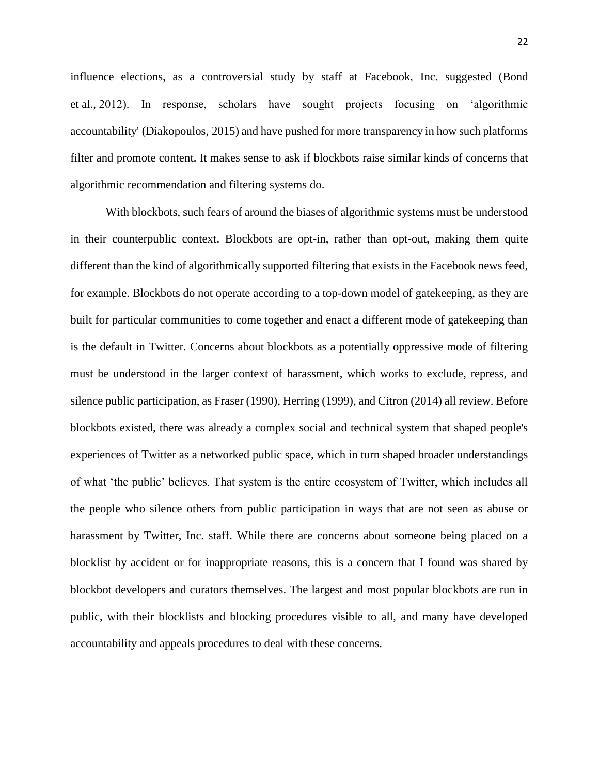influence elections, as a controversial study by staff at Facebook, Inc. suggested (Bond et al., 2012). In response, scholars have sought projects focusing on 'algorithmic accountability' (Diakopoulos, 2015) and have pushed for more transparency in how such platforms filter and promote content. It makes sense to ask if blockbots raise similar kinds of concerns that algorithmic recommendation and filtering systems do.

With blockbots, such fears of around the biases of algorithmic systems must be understood in their counterpublic context. Blockbots are opt-in, rather than opt-out, making them quite different than the kind of algorithmically supported filtering that exists in the Facebook news feed, for example. Blockbots do not operate according to a top-down model of gatekeeping, as they are built for particular communities to come together and enact a different mode of gatekeeping than is the default in Twitter. Concerns about blockbots as a potentially oppressive mode of filtering must be understood in the larger context of harassment, which works to exclude, repress, and silence public participation, as Fraser (1990), Herring (1999), and Citron (2014) all review. Before blockbots existed, there was already a complex social and technical system that shaped people's experiences of Twitter as a networked public space, which in turn shaped broader understandings of what 'the public' believes. That system is the entire ecosystem of Twitter, which includes all the people who silence others from public participation in ways that are not seen as abuse or harassment by Twitter, Inc. staff. While there are concerns about someone being placed on a blocklist by accident or for inappropriate reasons, this is a concern that I found was shared by blockbot developers and curators themselves. The largest and most popular blockbots are run in public, with their blocklists and blocking procedures visible to all, and many have developed accountability and appeals procedures to deal with these concerns.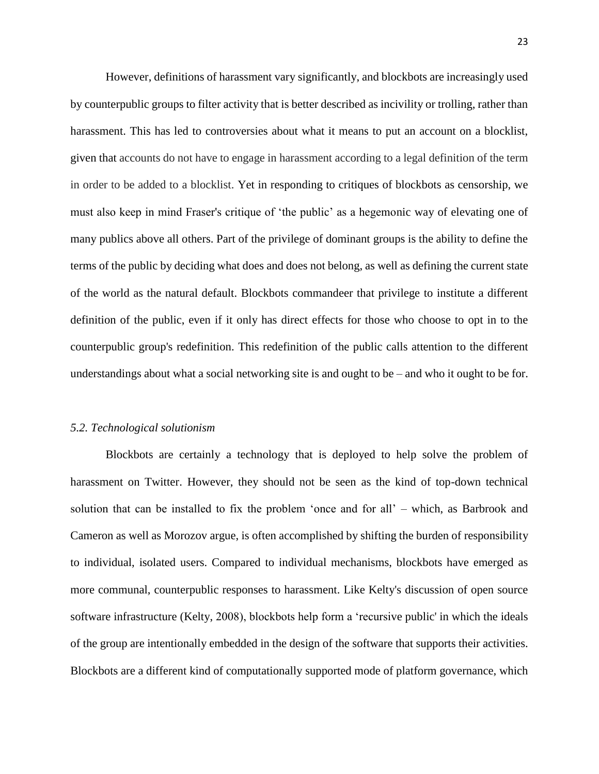However, definitions of harassment vary significantly, and blockbots are increasingly used by counterpublic groups to filter activity that is better described as incivility or trolling, rather than harassment. This has led to controversies about what it means to put an account on a blocklist, given that accounts do not have to engage in harassment according to a legal definition of the term in order to be added to a blocklist. Yet in responding to critiques of blockbots as censorship, we must also keep in mind Fraser's critique of 'the public' as a hegemonic way of elevating one of many publics above all others. Part of the privilege of dominant groups is the ability to define the terms of the public by deciding what does and does not belong, as well as defining the current state of the world as the natural default. Blockbots commandeer that privilege to institute a different definition of the public, even if it only has direct effects for those who choose to opt in to the counterpublic group's redefinition. This redefinition of the public calls attention to the different understandings about what a social networking site is and ought to be – and who it ought to be for.

#### *5.2. Technological solutionism*

Blockbots are certainly a technology that is deployed to help solve the problem of harassment on Twitter. However, they should not be seen as the kind of top-down technical solution that can be installed to fix the problem 'once and for all' – which, as Barbrook and Cameron as well as Morozov argue, is often accomplished by shifting the burden of responsibility to individual, isolated users. Compared to individual mechanisms, blockbots have emerged as more communal, counterpublic responses to harassment. Like Kelty's discussion of open source software infrastructure (Kelty, 2008), blockbots help form a 'recursive public' in which the ideals of the group are intentionally embedded in the design of the software that supports their activities. Blockbots are a different kind of computationally supported mode of platform governance, which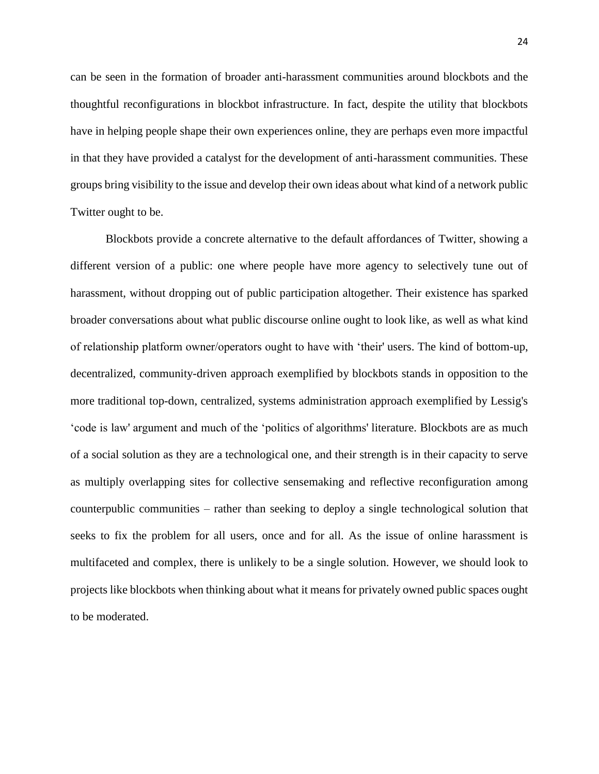can be seen in the formation of broader anti-harassment communities around blockbots and the thoughtful reconfigurations in blockbot infrastructure. In fact, despite the utility that blockbots have in helping people shape their own experiences online, they are perhaps even more impactful in that they have provided a catalyst for the development of anti-harassment communities. These groups bring visibility to the issue and develop their own ideas about what kind of a network public Twitter ought to be.

Blockbots provide a concrete alternative to the default affordances of Twitter, showing a different version of a public: one where people have more agency to selectively tune out of harassment, without dropping out of public participation altogether. Their existence has sparked broader conversations about what public discourse online ought to look like, as well as what kind of relationship platform owner/operators ought to have with 'their' users. The kind of bottom-up, decentralized, community-driven approach exemplified by blockbots stands in opposition to the more traditional top-down, centralized, systems administration approach exemplified by Lessig's 'code is law' argument and much of the 'politics of algorithms' literature. Blockbots are as much of a social solution as they are a technological one, and their strength is in their capacity to serve as multiply overlapping sites for collective sensemaking and reflective reconfiguration among counterpublic communities – rather than seeking to deploy a single technological solution that seeks to fix the problem for all users, once and for all. As the issue of online harassment is multifaceted and complex, there is unlikely to be a single solution. However, we should look to projects like blockbots when thinking about what it means for privately owned public spaces ought to be moderated.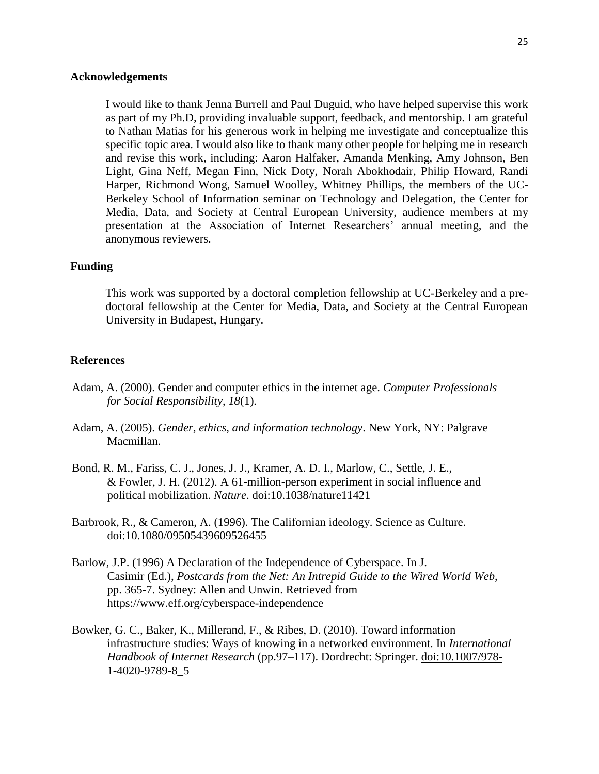#### **Acknowledgements**

I would like to thank Jenna Burrell and Paul Duguid, who have helped supervise this work as part of my Ph.D, providing invaluable support, feedback, and mentorship. I am grateful to Nathan Matias for his generous work in helping me investigate and conceptualize this specific topic area. I would also like to thank many other people for helping me in research and revise this work, including: Aaron Halfaker, Amanda Menking, Amy Johnson, Ben Light, Gina Neff, Megan Finn, Nick Doty, Norah Abokhodair, Philip Howard, Randi Harper, Richmond Wong, Samuel Woolley, Whitney Phillips, the members of the UC-Berkeley School of Information seminar on Technology and Delegation, the Center for Media, Data, and Society at Central European University, audience members at my presentation at the Association of Internet Researchers' annual meeting, and the anonymous reviewers.

# **Funding**

This work was supported by a doctoral completion fellowship at UC-Berkeley and a predoctoral fellowship at the Center for Media, Data, and Society at the Central European University in Budapest, Hungary.

# **References**

- Adam, A. (2000). Gender and computer ethics in the internet age. *Computer Professionals for Social Responsibility*, *18*(1).
- Adam, A. (2005). *Gender, ethics, and information technology*. New York, NY: Palgrave Macmillan.
- Bond, R. M., Fariss, C. J., Jones, J. J., Kramer, A. D. I., Marlow, C., Settle, J. E., & Fowler, J. H. (2012). A 61-million-person experiment in social influence and political mobilization. *Nature*. [doi:10.1038/nature11421](http://dx.doi.org/10.1038/nature11421)
- Barbrook, R., & Cameron, A. (1996). The Californian ideology. Science as Culture. doi:10.1080/09505439609526455
- Barlow, J.P. (1996) A Declaration of the Independence of Cyberspace. In J. Casimir (Ed.), *Postcards from the Net: An Intrepid Guide to the Wired World Web*, pp. 365-7. Sydney: Allen and Unwin. Retrieved from <https://www.eff.org/cyberspace-independence>

Bowker, G. C., Baker, K., Millerand, F., & Ribes, D. (2010). Toward information infrastructure studies: Ways of knowing in a networked environment. In *International Handbook of Internet Research* (pp.97–117). Dordrecht: Springer. [doi:10.1007/978-](http://dx.doi.org/10.1007/978-1-4020-9789-8_5%5bAQ7%5d%C2%A0) [1-4020-9789-8\\_5](http://dx.doi.org/10.1007/978-1-4020-9789-8_5%5bAQ7%5d%C2%A0)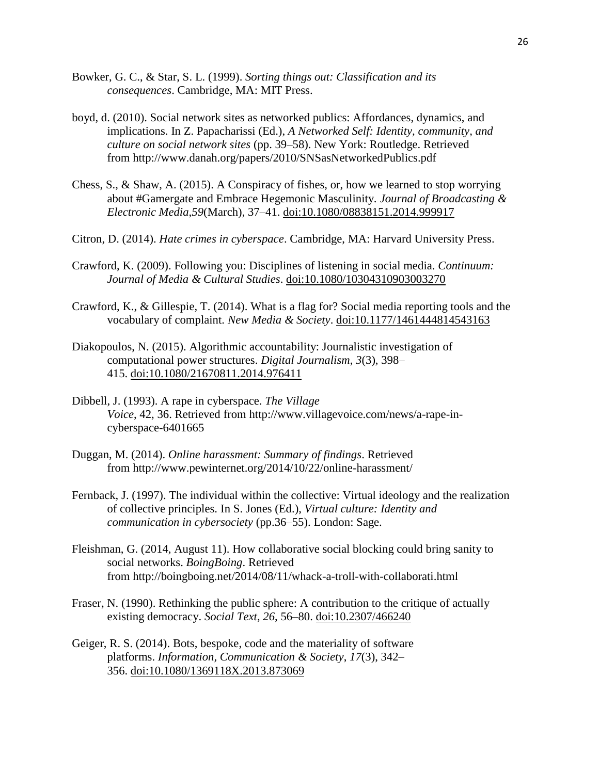- Bowker, G. C., & Star, S. L. (1999). *Sorting things out: Classification and its consequences*. Cambridge, MA: MIT Press.
- boyd, d. (2010). Social network sites as networked publics: Affordances, dynamics, and implications. In Z. Papacharissi (Ed.), *A Networked Self: Identity, community, and culture on social network sites* (pp. 39–58). New York: Routledge. Retrieved from <http://www.danah.org/papers/2010/SNSasNetworkedPublics.pdf>
- Chess, S., & Shaw, A. (2015). A Conspiracy of fishes, or, how we learned to stop worrying about #Gamergate and Embrace Hegemonic Masculinity. *Journal of Broadcasting & Electronic Media*,*59*(March), 37–41. [doi:10.1080/08838151.2014.999917](http://dx.doi.org/10.1080/08838151.2014.999917)
- Citron, D. (2014). *Hate crimes in cyberspace*. Cambridge, MA: Harvard University Press.
- Crawford, K. (2009). Following you: Disciplines of listening in social media. *Continuum: Journal of Media & Cultural Studies*. [doi:10.1080/10304310903003270](http://dx.doi.org/10.1080/10304310903003270)
- Crawford, K., & Gillespie, T. (2014). What is a flag for? Social media reporting tools and the vocabulary of complaint. *New Media & Society*. [doi:10.1177/1461444814543163](http://dx.doi.org/10.1177/1461444814543163)
- Diakopoulos, N. (2015). Algorithmic accountability: Journalistic investigation of computational power structures. *Digital Journalism*, *3*(3), 398– 415. [doi:10.1080/21670811.2014.976411](http://dx.doi.org/10.1080/21670811.2014.976411)
- Dibbell, J. (1993). A rape in cyberspace. *The Village Voice*, 42, 36. Retrieved from [http://www.villagevoice.com/news/a-rape-in](http://www.villagevoice.com/news/a-rape-in-cyberspace-6401665)[cyberspace-6401665](http://www.villagevoice.com/news/a-rape-in-cyberspace-6401665)
- Duggan, M. (2014). *Online harassment: Summary of findings*. Retrieved from <http://www.pewinternet.org/2014/10/22/online-harassment/>
- Fernback, J. (1997). The individual within the collective: Virtual ideology and the realization of collective principles. In S. Jones (Ed.), *Virtual culture: Identity and communication in cybersociety* (pp.36–55). London: Sage.
- Fleishman, G. (2014, August 11). How collaborative social blocking could bring sanity to social networks. *BoingBoing*. Retrieved from <http://boingboing.net/2014/08/11/whack-a-troll-with-collaborati.html>
- Fraser, N. (1990). Rethinking the public sphere: A contribution to the critique of actually existing democracy. *Social Text*, *26*, 56–80. [doi:10.2307/466240](http://dx.doi.org/10.2307/466240)
- Geiger, R. S. (2014). Bots, bespoke, code and the materiality of software platforms. *Information, Communication & Society*, *17*(3), 342– 356. [doi:10.1080/1369118X.2013.873069](http://dx.doi.org/10.1080/1369118X.2013.873069)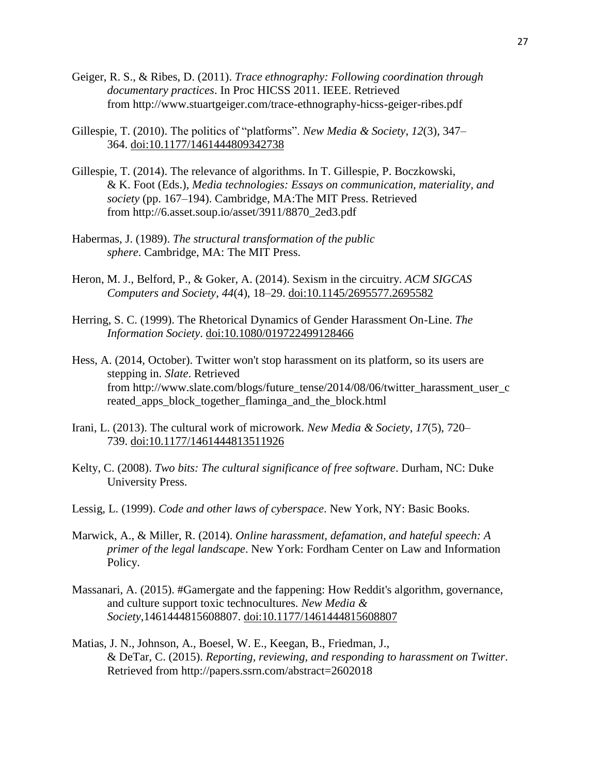- Geiger, R. S., & Ribes, D. (2011). *Trace ethnography: Following coordination through documentary practices*. In Proc HICSS 2011. IEEE. Retrieved from <http://www.stuartgeiger.com/trace-ethnography-hicss-geiger-ribes.pdf>
- Gillespie, T. (2010). The politics of "platforms". *New Media & Society*, *12*(3), 347– 364. [doi:10.1177/1461444809342738](http://dx.doi.org/10.1177/1461444809342738)
- Gillespie, T. (2014). The relevance of algorithms. In T. Gillespie, P. Boczkowski, & K. Foot (Eds.), *Media technologies: Essays on communication, materiality, and society* (pp. 167–194). Cambridge, MA:The MIT Press. Retrieved from [http://6.asset.soup.io/asset/3911/8870\\_2ed3.pdf](http://6.asset.soup.io/asset/3911/8870_2ed3.pdf)
- Habermas, J. (1989). *The structural transformation of the public sphere*. Cambridge, MA: The MIT Press.
- Heron, M. J., Belford, P., & Goker, A. (2014). Sexism in the circuitry. *ACM SIGCAS Computers and Society*, *44*(4), 18–29. [doi:10.1145/2695577.2695582](http://dx.doi.org/10.1145/2695577.2695582)
- Herring, S. C. (1999). The Rhetorical Dynamics of Gender Harassment On-Line. *The Information Society*. [doi:10.1080/019722499128466](http://dx.doi.org/10.1080/019722499128466)
- Hess, A. (2014, October). Twitter won't stop harassment on its platform, so its users are stepping in. *Slate*. Retrieved from [http://www.slate.com/blogs/future\\_tense/2014/08/06/twitter\\_harassment\\_user\\_c](http://www.slate.com/blogs/future_tense/2014/08/06/twitter_harassment_user_created_apps_block_together_flaminga_and_the_block.html) [reated\\_apps\\_block\\_together\\_flaminga\\_and\\_the\\_block.html](http://www.slate.com/blogs/future_tense/2014/08/06/twitter_harassment_user_created_apps_block_together_flaminga_and_the_block.html)
- Irani, L. (2013). The cultural work of microwork. *New Media & Society*, *17*(5), 720– 739. [doi:10.1177/1461444813511926](http://dx.doi.org/10.1177/1461444813511926)
- Kelty, C. (2008). *Two bits: The cultural significance of free software*. Durham, NC: Duke University Press.
- Lessig, L. (1999). *Code and other laws of cyberspace*. New York, NY: Basic Books.
- Marwick, A., & Miller, R. (2014). *Online harassment, defamation, and hateful speech: A primer of the legal landscape*. New York: Fordham Center on Law and Information Policy.
- Massanari, A. (2015). #Gamergate and the fappening: How Reddit's algorithm, governance, and culture support toxic technocultures. *New Media & Society*,1461444815608807. [doi:10.1177/1461444815608807](http://dx.doi.org/10.1177/1461444815608807)
- Matias, J. N., Johnson, A., Boesel, W. E., Keegan, B., Friedman, J., & DeTar, C. (2015). *Reporting, reviewing, and responding to harassment on Twitter*. Retrieved from <http://papers.ssrn.com/abstract=2602018>